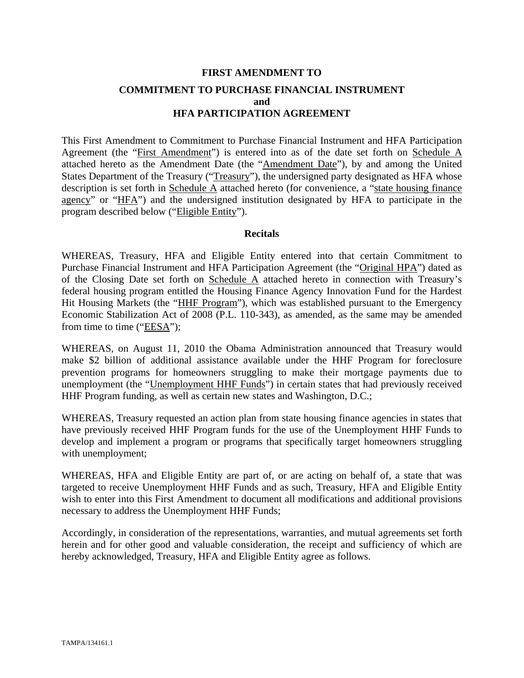# **FIRST AMENDMENT TO COMMITMENT TO PURCHASE FINANCIAL INSTRUMENT and HFA PARTICIPATION AGREEMENT**

This First Amendment to Commitment to Purchase Financial Instrument and HFA Participation Agreement (the "First Amendment") is entered into as of the date set forth on Schedule A attached hereto as the Amendment Date (the "Amendment Date"), by and among the United States Department of the Treasury ("Treasury"), the undersigned party designated as HFA whose description is set forth in Schedule A attached hereto (for convenience, a "state housing finance agency" or "HFA") and the undersigned institution designated by HFA to participate in the program described below ("Eligible Entity").

#### **Recitals**

WHEREAS, Treasury, HFA and Eligible Entity entered into that certain Commitment to Purchase Financial Instrument and HFA Participation Agreement (the "Original HPA") dated as of the Closing Date set forth on Schedule A attached hereto in connection with Treasury's federal housing program entitled the Housing Finance Agency Innovation Fund for the Hardest Hit Housing Markets (the "HHF Program"), which was established pursuant to the Emergency Economic Stabilization Act of 2008 (P.L. 110-343), as amended, as the same may be amended from time to time ("EESA");

WHEREAS, on August 11, 2010 the Obama Administration announced that Treasury would make \$2 billion of additional assistance available under the HHF Program for foreclosure prevention programs for homeowners struggling to make their mortgage payments due to unemployment (the "Unemployment HHF Funds") in certain states that had previously received HHF Program funding, as well as certain new states and Washington, D.C.;

WHEREAS, Treasury requested an action plan from state housing finance agencies in states that have previously received HHF Program funds for the use of the Unemployment HHF Funds to develop and implement a program or programs that specifically target homeowners struggling with unemployment;

WHEREAS, HFA and Eligible Entity are part of, or are acting on behalf of, a state that was targeted to receive Unemployment HHF Funds and as such, Treasury, HFA and Eligible Entity wish to enter into this First Amendment to document all modifications and additional provisions necessary to address the Unemployment HHF Funds;

Accordingly, in consideration of the representations, warranties, and mutual agreements set forth herein and for other good and valuable consideration, the receipt and sufficiency of which are hereby acknowledged, Treasury, HFA and Eligible Entity agree as follows.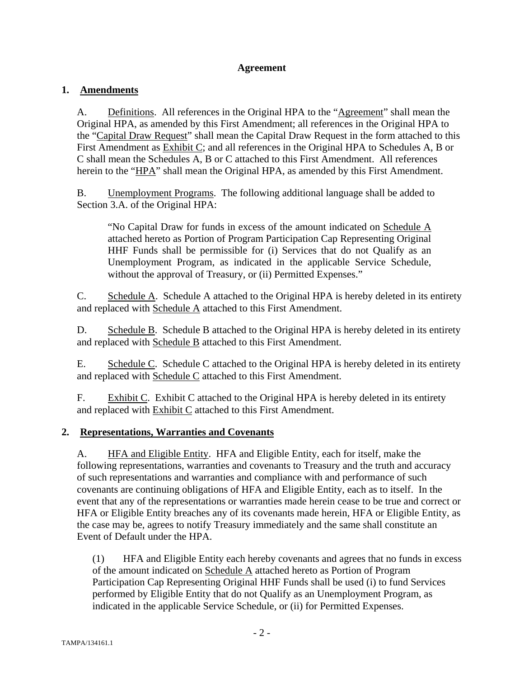#### **Agreement**

## **1. Amendments**

A. Definitions. All references in the Original HPA to the "Agreement" shall mean the Original HPA, as amended by this First Amendment; all references in the Original HPA to the "Capital Draw Request" shall mean the Capital Draw Request in the form attached to this First Amendment as Exhibit C; and all references in the Original HPA to Schedules A, B or C shall mean the Schedules A, B or C attached to this First Amendment. All references herein to the "HPA" shall mean the Original HPA, as amended by this First Amendment.

B. Unemployment Programs. The following additional language shall be added to Section 3.A. of the Original HPA:

"No Capital Draw for funds in excess of the amount indicated on Schedule A attached hereto as Portion of Program Participation Cap Representing Original HHF Funds shall be permissible for (i) Services that do not Qualify as an Unemployment Program, as indicated in the applicable Service Schedule, without the approval of Treasury, or (ii) Permitted Expenses."

C. Schedule A. Schedule A attached to the Original HPA is hereby deleted in its entirety and replaced with Schedule A attached to this First Amendment.

D. Schedule B. Schedule B attached to the Original HPA is hereby deleted in its entirety and replaced with Schedule B attached to this First Amendment.

E. Schedule C. Schedule C attached to the Original HPA is hereby deleted in its entirety and replaced with Schedule C attached to this First Amendment.

F. Exhibit C. Exhibit C attached to the Original HPA is hereby deleted in its entirety and replaced with Exhibit C attached to this First Amendment.

## **2. Representations, Warranties and Covenants**

A. HFA and Eligible Entity. HFA and Eligible Entity, each for itself, make the following representations, warranties and covenants to Treasury and the truth and accuracy of such representations and warranties and compliance with and performance of such covenants are continuing obligations of HFA and Eligible Entity, each as to itself. In the event that any of the representations or warranties made herein cease to be true and correct or HFA or Eligible Entity breaches any of its covenants made herein, HFA or Eligible Entity, as the case may be, agrees to notify Treasury immediately and the same shall constitute an Event of Default under the HPA.

(1) HFA and Eligible Entity each hereby covenants and agrees that no funds in excess of the amount indicated on Schedule A attached hereto as Portion of Program Participation Cap Representing Original HHF Funds shall be used (i) to fund Services performed by Eligible Entity that do not Qualify as an Unemployment Program, as indicated in the applicable Service Schedule, or (ii) for Permitted Expenses.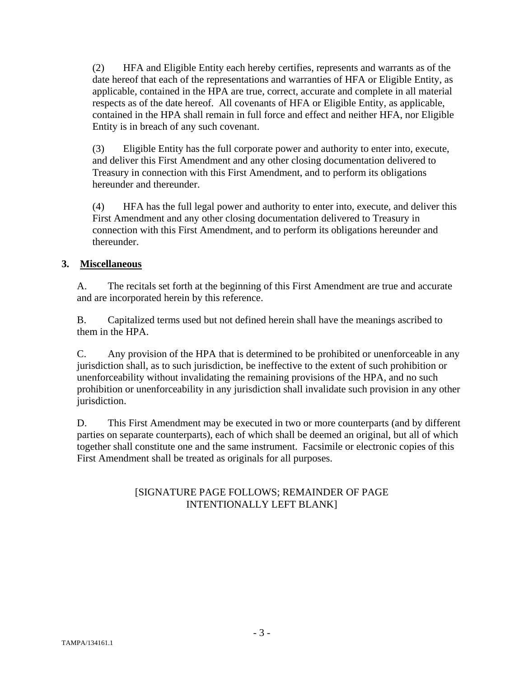(2) HFA and Eligible Entity each hereby certifies, represents and warrants as of the date hereof that each of the representations and warranties of HFA or Eligible Entity, as applicable, contained in the HPA are true, correct, accurate and complete in all material respects as of the date hereof. All covenants of HFA or Eligible Entity, as applicable, contained in the HPA shall remain in full force and effect and neither HFA, nor Eligible Entity is in breach of any such covenant.

(3) Eligible Entity has the full corporate power and authority to enter into, execute, and deliver this First Amendment and any other closing documentation delivered to Treasury in connection with this First Amendment, and to perform its obligations hereunder and thereunder.

(4) HFA has the full legal power and authority to enter into, execute, and deliver this First Amendment and any other closing documentation delivered to Treasury in connection with this First Amendment, and to perform its obligations hereunder and thereunder.

## **3. Miscellaneous**

A. The recitals set forth at the beginning of this First Amendment are true and accurate and are incorporated herein by this reference.

B. Capitalized terms used but not defined herein shall have the meanings ascribed to them in the HPA.

C. Any provision of the HPA that is determined to be prohibited or unenforceable in any jurisdiction shall, as to such jurisdiction, be ineffective to the extent of such prohibition or unenforceability without invalidating the remaining provisions of the HPA, and no such prohibition or unenforceability in any jurisdiction shall invalidate such provision in any other jurisdiction.

D. This First Amendment may be executed in two or more counterparts (and by different parties on separate counterparts), each of which shall be deemed an original, but all of which together shall constitute one and the same instrument. Facsimile or electronic copies of this First Amendment shall be treated as originals for all purposes.

## [SIGNATURE PAGE FOLLOWS; REMAINDER OF PAGE INTENTIONALLY LEFT BLANK]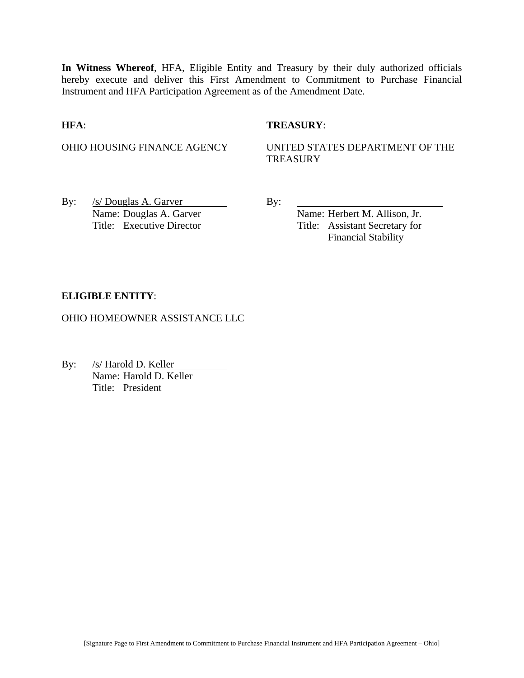**In Witness Whereof**, HFA, Eligible Entity and Treasury by their duly authorized officials hereby execute and deliver this First Amendment to Commitment to Purchase Financial Instrument and HFA Participation Agreement as of the Amendment Date.

#### **HFA**: **TREASURY**:

OHIO HOUSING FINANCE AGENCY UNITED STATES DEPARTMENT OF THE **TREASURY** 

By:  $/s/Douglas A. Garver$  By: Name: Douglas A. Garver Name: Herbert M. Allison, Jr.

Title: Executive Director Title: Assistant Secretary for Financial Stability

#### **ELIGIBLE ENTITY**:

OHIO HOMEOWNER ASSISTANCE LLC

By: /s/ Harold D. Keller Name: Harold D. Keller Title: President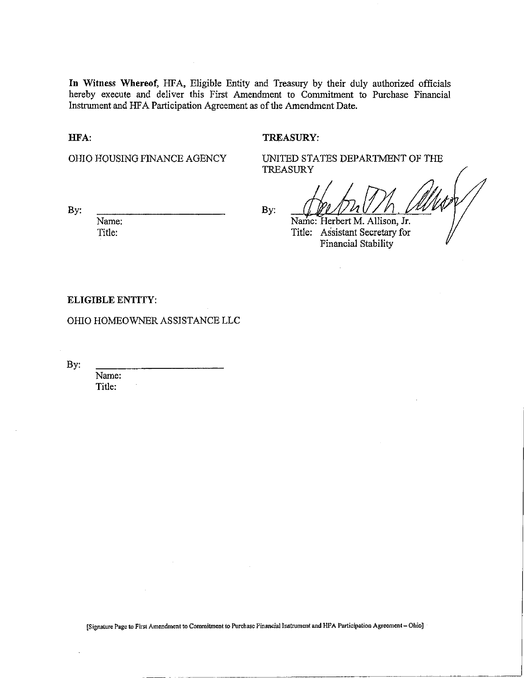**In** Witness Whereof, HFA, Eligible Entity and Treasury by their duly authorized officials hereby execute and deliver this First Amendment to Commitment to Purchase Financial Instrument and HFA Participation Agreement as of the Amendment Date.

HFA:

#### TREASURY:

OHIO HOUSING FINANCE AGENCY

UNITED STATES DEPARTMENT OF THE **TREASURY** 

By:

Name: Title:

By:

Name: Herbert M. Allison, Jr. Title: Assistant Secretary for Financial Stability

ELIGIBLE ENTITY:

OHIO HOMEOWNER ASSISTANCE LLC

By:

Name: Title:

[Signature Page to First Amendment to Commitment to Purchase Financial Instrument and HPA Participation Agreement - Ohio]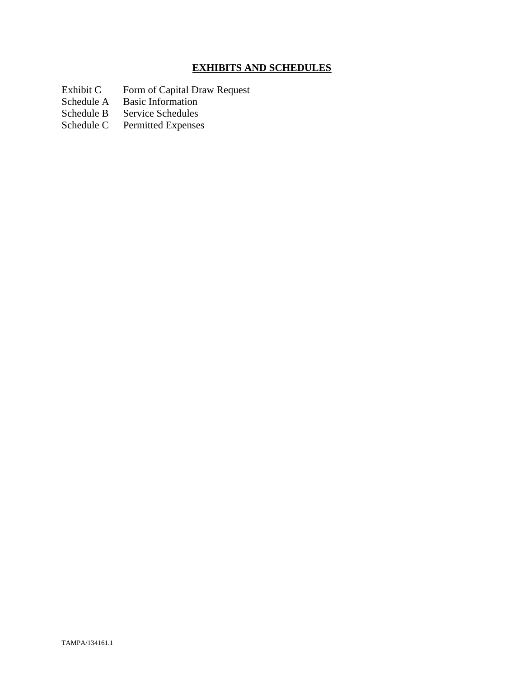# **EXHIBITS AND SCHEDULES**

- Exhibit C Form of Capital Draw Request
- Schedule A Basic Information
- Schedule B Service Schedules<br>Schedule C Permitted Expenses
- Permitted Expenses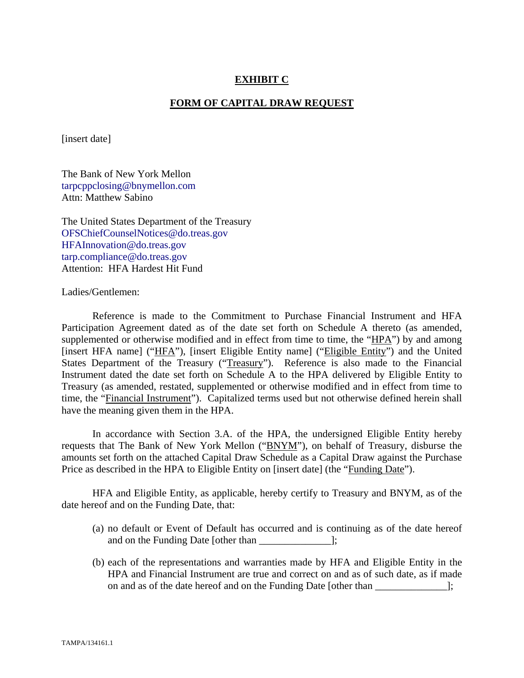#### **EXHIBIT C**

#### **FORM OF CAPITAL DRAW REQUEST**

[insert date]

The Bank of New York Mellon tarpcppclosing@bnymellon.com Attn: Matthew Sabino

The United States Department of the Treasury OFSChiefCounselNotices@do.treas.gov HFAInnovation@do.treas.gov tarp.compliance@do.treas.gov Attention: HFA Hardest Hit Fund

Ladies/Gentlemen:

 Reference is made to the Commitment to Purchase Financial Instrument and HFA Participation Agreement dated as of the date set forth on Schedule A thereto (as amended, supplemented or otherwise modified and in effect from time to time, the "HPA") by and among [insert HFA name] ("HFA"), [insert Eligible Entity name] ("Eligible Entity") and the United States Department of the Treasury ("Treasury"). Reference is also made to the Financial Instrument dated the date set forth on Schedule A to the HPA delivered by Eligible Entity to Treasury (as amended, restated, supplemented or otherwise modified and in effect from time to time, the "Financial Instrument"). Capitalized terms used but not otherwise defined herein shall have the meaning given them in the HPA.

 In accordance with Section 3.A. of the HPA, the undersigned Eligible Entity hereby requests that The Bank of New York Mellon ("BNYM"), on behalf of Treasury, disburse the amounts set forth on the attached Capital Draw Schedule as a Capital Draw against the Purchase Price as described in the HPA to Eligible Entity on [insert date] (the "Funding Date").

 HFA and Eligible Entity, as applicable, hereby certify to Treasury and BNYM, as of the date hereof and on the Funding Date, that:

- (a) no default or Event of Default has occurred and is continuing as of the date hereof and on the Funding Date [other than \_\_\_\_\_\_\_\_\_\_\_\_\_\_];
- (b) each of the representations and warranties made by HFA and Eligible Entity in the HPA and Financial Instrument are true and correct on and as of such date, as if made on and as of the date hereof and on the Funding Date [other than ];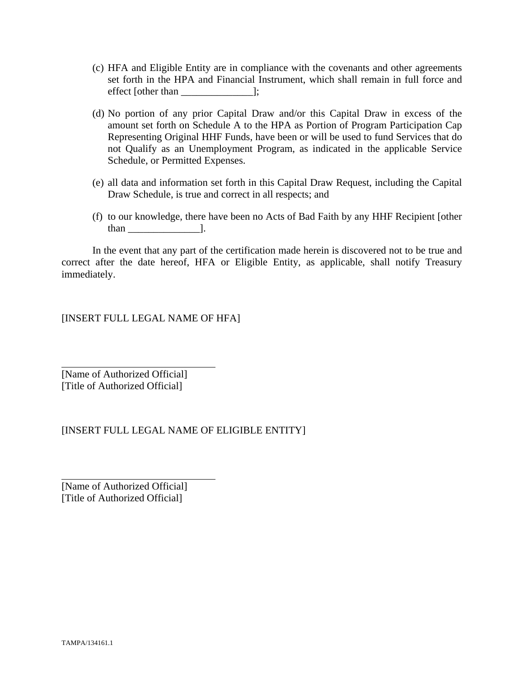- (c) HFA and Eligible Entity are in compliance with the covenants and other agreements set forth in the HPA and Financial Instrument, which shall remain in full force and effect [other than \_\_\_\_\_\_\_\_\_\_\_\_\_\_];
- (d) No portion of any prior Capital Draw and/or this Capital Draw in excess of the amount set forth on Schedule A to the HPA as Portion of Program Participation Cap Representing Original HHF Funds, have been or will be used to fund Services that do not Qualify as an Unemployment Program, as indicated in the applicable Service Schedule, or Permitted Expenses.
- (e) all data and information set forth in this Capital Draw Request, including the Capital Draw Schedule, is true and correct in all respects; and
- (f) to our knowledge, there have been no Acts of Bad Faith by any HHF Recipient [other than \_\_\_\_\_\_\_\_\_\_\_\_\_\_].

 In the event that any part of the certification made herein is discovered not to be true and correct after the date hereof, HFA or Eligible Entity, as applicable, shall notify Treasury immediately.

[INSERT FULL LEGAL NAME OF HFA]

[Name of Authorized Official] [Title of Authorized Official]

 $\overline{a}$ 

l

## [INSERT FULL LEGAL NAME OF ELIGIBLE ENTITY]

[Name of Authorized Official] [Title of Authorized Official]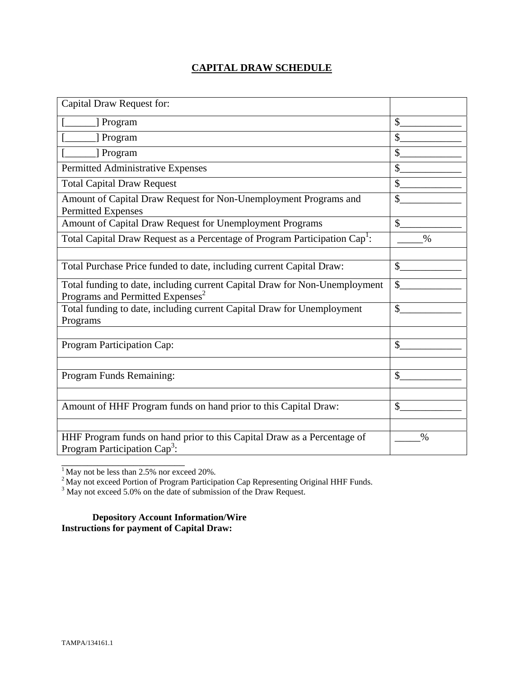## **CAPITAL DRAW SCHEDULE**

| Capital Draw Request for:                                                                                                  |               |
|----------------------------------------------------------------------------------------------------------------------------|---------------|
| [] Program                                                                                                                 | \$            |
| ] Program                                                                                                                  | $\mathcal{S}$ |
| [ Program                                                                                                                  | \$            |
| Permitted Administrative Expenses                                                                                          | \$            |
| <b>Total Capital Draw Request</b>                                                                                          | \$            |
| Amount of Capital Draw Request for Non-Unemployment Programs and<br><b>Permitted Expenses</b>                              | \$            |
| Amount of Capital Draw Request for Unemployment Programs                                                                   | $\mathcal{S}$ |
| Total Capital Draw Request as a Percentage of Program Participation Cap <sup>1</sup> :                                     | $\%$          |
|                                                                                                                            |               |
| Total Purchase Price funded to date, including current Capital Draw:                                                       | $\mathbb{S}$  |
| Total funding to date, including current Capital Draw for Non-Unemployment<br>Programs and Permitted Expenses <sup>2</sup> | \$            |
| Total funding to date, including current Capital Draw for Unemployment<br>Programs                                         | $\mathcal{S}$ |
|                                                                                                                            |               |
| Program Participation Cap:                                                                                                 | \$            |
|                                                                                                                            |               |
| Program Funds Remaining:                                                                                                   | \$            |
|                                                                                                                            |               |
| Amount of HHF Program funds on hand prior to this Capital Draw:                                                            | $\mathcal{S}$ |
|                                                                                                                            |               |
| HHF Program funds on hand prior to this Capital Draw as a Percentage of<br>Program Participation Cap <sup>3</sup> :        | $\%$          |

 $<sup>1</sup>$  May not be less than 2.5% nor exceed 20%.</sup>

\_\_\_\_\_\_\_\_\_\_\_\_\_\_\_\_\_\_\_\_\_\_\_\_

<sup>2</sup> May not exceed Portion of Program Participation Cap Representing Original HHF Funds.<br><sup>3</sup> May not exceed 5.0% on the date of submission of the Draw Request.

**Depository Account Information/Wire Instructions for payment of Capital Draw:**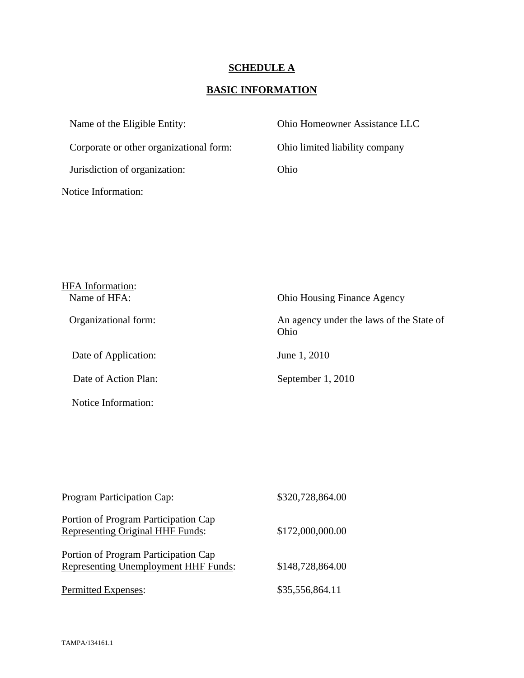# **SCHEDULE A**

# **BASIC INFORMATION**

| Name of the Eligible Entity:            | Ohio Homeowner Assistance LLC  |
|-----------------------------------------|--------------------------------|
| Corporate or other organizational form: | Ohio limited liability company |
| Jurisdiction of organization:           | Ohio                           |
| Notice Information:                     |                                |

| <b>HFA</b> Information:<br>Name of HFA: | <b>Ohio Housing Finance Agency</b>               |
|-----------------------------------------|--------------------------------------------------|
| Organizational form:                    | An agency under the laws of the State of<br>Ohio |
| Date of Application:                    | June 1, 2010                                     |
| Date of Action Plan:                    | September 1, 2010                                |
| Notice Information:                     |                                                  |
|                                         |                                                  |
|                                         |                                                  |

| <b>Program Participation Cap:</b>                                            | \$320,728,864.00 |
|------------------------------------------------------------------------------|------------------|
| Portion of Program Participation Cap<br>Representing Original HHF Funds:     | \$172,000,000.00 |
| Portion of Program Participation Cap<br>Representing Unemployment HHF Funds: | \$148,728,864.00 |
| Permitted Expenses:                                                          | \$35,556,864.11  |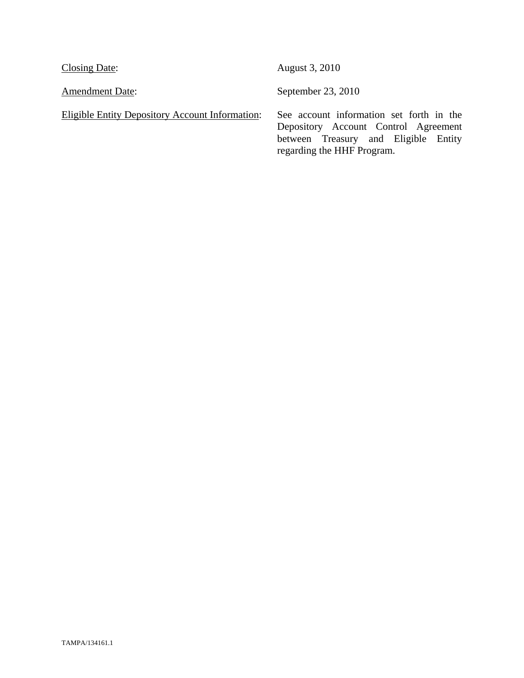| <b>Closing Date:</b>                                   | August 3, 2010                                                                                                                                         |
|--------------------------------------------------------|--------------------------------------------------------------------------------------------------------------------------------------------------------|
| <b>Amendment Date:</b>                                 | September 23, 2010                                                                                                                                     |
| <b>Eligible Entity Depository Account Information:</b> | See account information set forth in the<br>Depository Account Control Agreement<br>between Treasury and Eligible Entity<br>regarding the HHF Program. |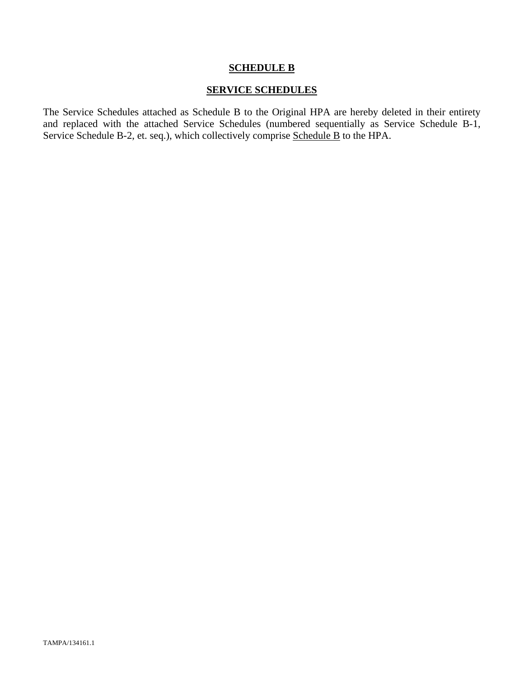#### **SCHEDULE B**

#### **SERVICE SCHEDULES**

The Service Schedules attached as Schedule B to the Original HPA are hereby deleted in their entirety and replaced with the attached Service Schedules (numbered sequentially as Service Schedule B-1, Service Schedule B-2, et. seq.), which collectively comprise Schedule B to the HPA.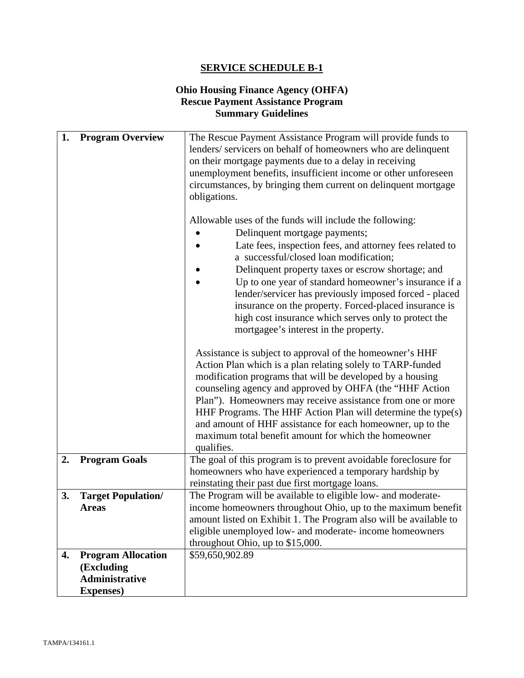#### **Ohio Housing Finance Agency (OHFA) Rescue Payment Assistance Program Summary Guidelines**

| 1. | <b>Program Overview</b>   | The Rescue Payment Assistance Program will provide funds to       |
|----|---------------------------|-------------------------------------------------------------------|
|    |                           | lenders/servicers on behalf of homeowners who are delinquent      |
|    |                           | on their mortgage payments due to a delay in receiving            |
|    |                           | unemployment benefits, insufficient income or other unforeseen    |
|    |                           | circumstances, by bringing them current on delinquent mortgage    |
|    |                           | obligations.                                                      |
|    |                           |                                                                   |
|    |                           | Allowable uses of the funds will include the following:           |
|    |                           | Delinquent mortgage payments;                                     |
|    |                           | Late fees, inspection fees, and attorney fees related to          |
|    |                           | a successful/closed loan modification;                            |
|    |                           | Delinquent property taxes or escrow shortage; and                 |
|    |                           | Up to one year of standard homeowner's insurance if a             |
|    |                           | lender/servicer has previously imposed forced - placed            |
|    |                           | insurance on the property. Forced-placed insurance is             |
|    |                           | high cost insurance which serves only to protect the              |
|    |                           | mortgagee's interest in the property.                             |
|    |                           |                                                                   |
|    |                           | Assistance is subject to approval of the homeowner's HHF          |
|    |                           | Action Plan which is a plan relating solely to TARP-funded        |
|    |                           | modification programs that will be developed by a housing         |
|    |                           | counseling agency and approved by OHFA (the "HHF Action           |
|    |                           | Plan"). Homeowners may receive assistance from one or more        |
|    |                           | HHF Programs. The HHF Action Plan will determine the type(s)      |
|    |                           | and amount of HHF assistance for each homeowner, up to the        |
|    |                           | maximum total benefit amount for which the homeowner              |
|    |                           | qualifies.                                                        |
| 2. | <b>Program Goals</b>      | The goal of this program is to prevent avoidable foreclosure for  |
|    |                           | homeowners who have experienced a temporary hardship by           |
|    |                           | reinstating their past due first mortgage loans.                  |
| 3. | <b>Target Population/</b> | The Program will be available to eligible low- and moderate-      |
|    | <b>Areas</b>              | income homeowners throughout Ohio, up to the maximum benefit      |
|    |                           | amount listed on Exhibit 1. The Program also will be available to |
|    |                           | eligible unemployed low- and moderate- income homeowners          |
|    |                           | throughout Ohio, up to \$15,000.                                  |
| 4. | <b>Program Allocation</b> | \$59,650,902.89                                                   |
|    | (Excluding                |                                                                   |
|    | <b>Administrative</b>     |                                                                   |
|    | <b>Expenses</b> )         |                                                                   |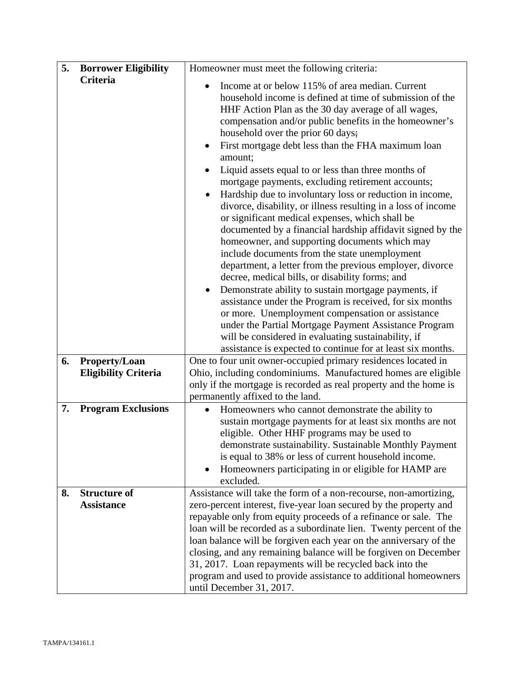| 5. | <b>Borrower Eligibility</b>                         | Homeowner must meet the following criteria:                                                                                                                                                                                                                                                                                                                                                                                                                                                                                                                                                                                                                                                                                                                                                                                                                                                                                                                                                                                                                                                                                                                                                                                                                                                                 |
|----|-----------------------------------------------------|-------------------------------------------------------------------------------------------------------------------------------------------------------------------------------------------------------------------------------------------------------------------------------------------------------------------------------------------------------------------------------------------------------------------------------------------------------------------------------------------------------------------------------------------------------------------------------------------------------------------------------------------------------------------------------------------------------------------------------------------------------------------------------------------------------------------------------------------------------------------------------------------------------------------------------------------------------------------------------------------------------------------------------------------------------------------------------------------------------------------------------------------------------------------------------------------------------------------------------------------------------------------------------------------------------------|
|    | <b>Criteria</b>                                     | Income at or below 115% of area median. Current<br>household income is defined at time of submission of the<br>HHF Action Plan as the 30 day average of all wages,<br>compensation and/or public benefits in the homeowner's<br>household over the prior 60 days;<br>First mortgage debt less than the FHA maximum loan<br>$\bullet$<br>amount;<br>Liquid assets equal to or less than three months of<br>$\bullet$<br>mortgage payments, excluding retirement accounts;<br>Hardship due to involuntary loss or reduction in income,<br>divorce, disability, or illness resulting in a loss of income<br>or significant medical expenses, which shall be<br>documented by a financial hardship affidavit signed by the<br>homeowner, and supporting documents which may<br>include documents from the state unemployment<br>department, a letter from the previous employer, divorce<br>decree, medical bills, or disability forms; and<br>Demonstrate ability to sustain mortgage payments, if<br>$\bullet$<br>assistance under the Program is received, for six months<br>or more. Unemployment compensation or assistance<br>under the Partial Mortgage Payment Assistance Program<br>will be considered in evaluating sustainability, if<br>assistance is expected to continue for at least six months. |
| 6. | <b>Property/Loan</b><br><b>Eligibility Criteria</b> | One to four unit owner-occupied primary residences located in<br>Ohio, including condominiums. Manufactured homes are eligible<br>only if the mortgage is recorded as real property and the home is<br>permanently affixed to the land.                                                                                                                                                                                                                                                                                                                                                                                                                                                                                                                                                                                                                                                                                                                                                                                                                                                                                                                                                                                                                                                                     |
| 7. | <b>Program Exclusions</b>                           | Homeowners who cannot demonstrate the ability to<br>$\bullet$<br>sustain mortgage payments for at least six months are not<br>eligible. Other HHF programs may be used to<br>demonstrate sustainability. Sustainable Monthly Payment<br>is equal to 38% or less of current household income.<br>Homeowners participating in or eligible for HAMP are<br>$\bullet$<br>excluded.                                                                                                                                                                                                                                                                                                                                                                                                                                                                                                                                                                                                                                                                                                                                                                                                                                                                                                                              |
| 8. | <b>Structure of</b><br><b>Assistance</b>            | Assistance will take the form of a non-recourse, non-amortizing,<br>zero-percent interest, five-year loan secured by the property and<br>repayable only from equity proceeds of a refinance or sale. The<br>loan will be recorded as a subordinate lien. Twenty percent of the<br>loan balance will be forgiven each year on the anniversary of the<br>closing, and any remaining balance will be forgiven on December<br>31, 2017. Loan repayments will be recycled back into the<br>program and used to provide assistance to additional homeowners<br>until December 31, 2017.                                                                                                                                                                                                                                                                                                                                                                                                                                                                                                                                                                                                                                                                                                                           |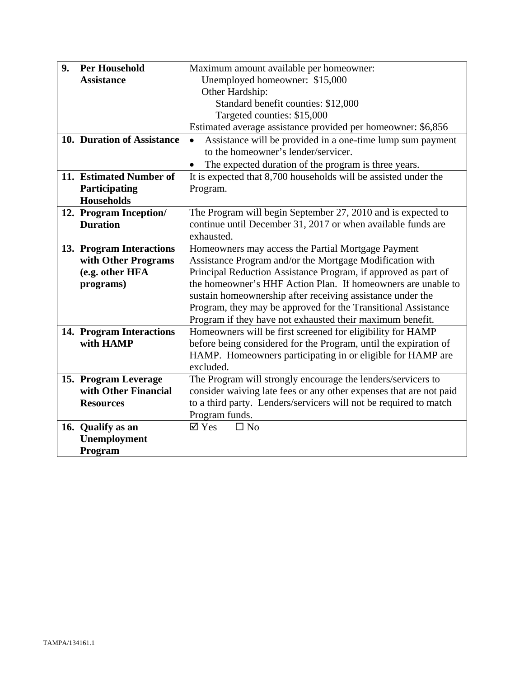| 9. | <b>Per Household</b>       | Maximum amount available per homeowner:                            |
|----|----------------------------|--------------------------------------------------------------------|
|    | <b>Assistance</b>          | Unemployed homeowner: \$15,000                                     |
|    |                            | Other Hardship:                                                    |
|    |                            | Standard benefit counties: \$12,000                                |
|    |                            | Targeted counties: \$15,000                                        |
|    |                            | Estimated average assistance provided per homeowner: \$6,856       |
|    | 10. Duration of Assistance | Assistance will be provided in a one-time lump sum payment         |
|    |                            | to the homeowner's lender/servicer.                                |
|    |                            | The expected duration of the program is three years.               |
|    | 11. Estimated Number of    | It is expected that 8,700 households will be assisted under the    |
|    | Participating              | Program.                                                           |
|    | <b>Households</b>          |                                                                    |
|    | 12. Program Inception/     | The Program will begin September 27, 2010 and is expected to       |
|    | <b>Duration</b>            | continue until December 31, 2017 or when available funds are       |
|    |                            | exhausted.                                                         |
|    | 13. Program Interactions   | Homeowners may access the Partial Mortgage Payment                 |
|    | with Other Programs        | Assistance Program and/or the Mortgage Modification with           |
|    | (e.g. other HFA            | Principal Reduction Assistance Program, if approved as part of     |
|    | programs)                  | the homeowner's HHF Action Plan. If homeowners are unable to       |
|    |                            | sustain homeownership after receiving assistance under the         |
|    |                            | Program, they may be approved for the Transitional Assistance      |
|    |                            | Program if they have not exhausted their maximum benefit.          |
|    | 14. Program Interactions   | Homeowners will be first screened for eligibility for HAMP         |
|    | with HAMP                  | before being considered for the Program, until the expiration of   |
|    |                            | HAMP. Homeowners participating in or eligible for HAMP are         |
|    |                            | excluded.                                                          |
|    | 15. Program Leverage       | The Program will strongly encourage the lenders/servicers to       |
|    | with Other Financial       | consider waiving late fees or any other expenses that are not paid |
|    | <b>Resources</b>           | to a third party. Lenders/servicers will not be required to match  |
|    |                            | Program funds.                                                     |
|    | 16. Qualify as an          | $\boxtimes$ Yes<br>$\Box$ No                                       |
|    | Unemployment               |                                                                    |
|    | Program                    |                                                                    |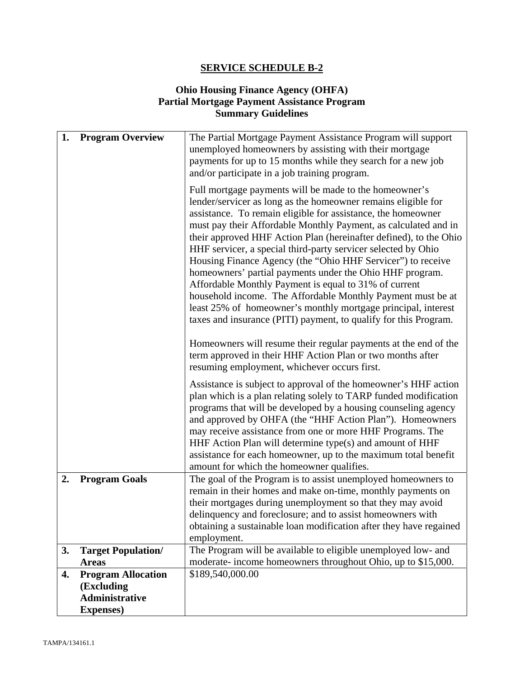## **Ohio Housing Finance Agency (OHFA) Partial Mortgage Payment Assistance Program Summary Guidelines**

| 1. | <b>Program Overview</b>                   | The Partial Mortgage Payment Assistance Program will support<br>unemployed homeowners by assisting with their mortgage<br>payments for up to 15 months while they search for a new job<br>and/or participate in a job training program.<br>Full mortgage payments will be made to the homeowner's<br>lender/servicer as long as the homeowner remains eligible for<br>assistance. To remain eligible for assistance, the homeowner<br>must pay their Affordable Monthly Payment, as calculated and in<br>their approved HHF Action Plan (hereinafter defined), to the Ohio<br>HHF servicer, a special third-party servicer selected by Ohio<br>Housing Finance Agency (the "Ohio HHF Servicer") to receive<br>homeowners' partial payments under the Ohio HHF program.<br>Affordable Monthly Payment is equal to 31% of current<br>household income. The Affordable Monthly Payment must be at<br>least 25% of homeowner's monthly mortgage principal, interest<br>taxes and insurance (PITI) payment, to qualify for this Program. |
|----|-------------------------------------------|-------------------------------------------------------------------------------------------------------------------------------------------------------------------------------------------------------------------------------------------------------------------------------------------------------------------------------------------------------------------------------------------------------------------------------------------------------------------------------------------------------------------------------------------------------------------------------------------------------------------------------------------------------------------------------------------------------------------------------------------------------------------------------------------------------------------------------------------------------------------------------------------------------------------------------------------------------------------------------------------------------------------------------------|
|    |                                           | Homeowners will resume their regular payments at the end of the<br>term approved in their HHF Action Plan or two months after<br>resuming employment, whichever occurs first.                                                                                                                                                                                                                                                                                                                                                                                                                                                                                                                                                                                                                                                                                                                                                                                                                                                       |
|    |                                           | Assistance is subject to approval of the homeowner's HHF action<br>plan which is a plan relating solely to TARP funded modification<br>programs that will be developed by a housing counseling agency<br>and approved by OHFA (the "HHF Action Plan"). Homeowners<br>may receive assistance from one or more HHF Programs. The<br>HHF Action Plan will determine type(s) and amount of HHF<br>assistance for each homeowner, up to the maximum total benefit<br>amount for which the homeowner qualifies.                                                                                                                                                                                                                                                                                                                                                                                                                                                                                                                           |
| 2. | <b>Program Goals</b>                      | The goal of the Program is to assist unemployed homeowners to<br>remain in their homes and make on-time, monthly payments on<br>their mortgages during unemployment so that they may avoid<br>delinquency and foreclosure; and to assist homeowners with<br>obtaining a sustainable loan modification after they have regained                                                                                                                                                                                                                                                                                                                                                                                                                                                                                                                                                                                                                                                                                                      |
|    |                                           | employment.<br>The Program will be available to eligible unemployed low- and                                                                                                                                                                                                                                                                                                                                                                                                                                                                                                                                                                                                                                                                                                                                                                                                                                                                                                                                                        |
| 3. | <b>Target Population/</b><br><b>Areas</b> | moderate-income homeowners throughout Ohio, up to \$15,000.                                                                                                                                                                                                                                                                                                                                                                                                                                                                                                                                                                                                                                                                                                                                                                                                                                                                                                                                                                         |
| 4. | <b>Program Allocation</b>                 | \$189,540,000.00                                                                                                                                                                                                                                                                                                                                                                                                                                                                                                                                                                                                                                                                                                                                                                                                                                                                                                                                                                                                                    |
|    | (Excluding                                |                                                                                                                                                                                                                                                                                                                                                                                                                                                                                                                                                                                                                                                                                                                                                                                                                                                                                                                                                                                                                                     |
|    | Administrative                            |                                                                                                                                                                                                                                                                                                                                                                                                                                                                                                                                                                                                                                                                                                                                                                                                                                                                                                                                                                                                                                     |
|    | <b>Expenses</b> )                         |                                                                                                                                                                                                                                                                                                                                                                                                                                                                                                                                                                                                                                                                                                                                                                                                                                                                                                                                                                                                                                     |
|    |                                           |                                                                                                                                                                                                                                                                                                                                                                                                                                                                                                                                                                                                                                                                                                                                                                                                                                                                                                                                                                                                                                     |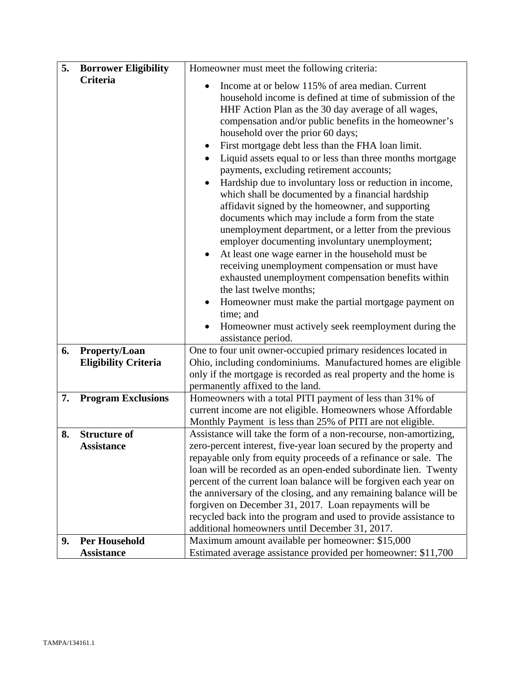| 5. | <b>Borrower Eligibility</b>                  | Homeowner must meet the following criteria:                                                                                                                                                                                                                                                                                                                                                                                                                                                                                                                                                                                                                                                                                                                                                                                                                                                                                                                                                                                                                                                                                                                |
|----|----------------------------------------------|------------------------------------------------------------------------------------------------------------------------------------------------------------------------------------------------------------------------------------------------------------------------------------------------------------------------------------------------------------------------------------------------------------------------------------------------------------------------------------------------------------------------------------------------------------------------------------------------------------------------------------------------------------------------------------------------------------------------------------------------------------------------------------------------------------------------------------------------------------------------------------------------------------------------------------------------------------------------------------------------------------------------------------------------------------------------------------------------------------------------------------------------------------|
|    | Criteria                                     | Income at or below 115% of area median. Current<br>$\bullet$<br>household income is defined at time of submission of the<br>HHF Action Plan as the 30 day average of all wages,<br>compensation and/or public benefits in the homeowner's<br>household over the prior 60 days;<br>First mortgage debt less than the FHA loan limit.<br>$\bullet$<br>Liquid assets equal to or less than three months mortgage<br>payments, excluding retirement accounts;<br>Hardship due to involuntary loss or reduction in income,<br>which shall be documented by a financial hardship<br>affidavit signed by the homeowner, and supporting<br>documents which may include a form from the state<br>unemployment department, or a letter from the previous<br>employer documenting involuntary unemployment;<br>At least one wage earner in the household must be<br>$\bullet$<br>receiving unemployment compensation or must have<br>exhausted unemployment compensation benefits within<br>the last twelve months;<br>Homeowner must make the partial mortgage payment on<br>time; and<br>Homeowner must actively seek reemployment during the<br>assistance period. |
| 6. | Property/Loan<br><b>Eligibility Criteria</b> | One to four unit owner-occupied primary residences located in<br>Ohio, including condominiums. Manufactured homes are eligible                                                                                                                                                                                                                                                                                                                                                                                                                                                                                                                                                                                                                                                                                                                                                                                                                                                                                                                                                                                                                             |
|    |                                              | only if the mortgage is recorded as real property and the home is<br>permanently affixed to the land.                                                                                                                                                                                                                                                                                                                                                                                                                                                                                                                                                                                                                                                                                                                                                                                                                                                                                                                                                                                                                                                      |
| 7. | <b>Program Exclusions</b>                    | Homeowners with a total PITI payment of less than 31% of<br>current income are not eligible. Homeowners whose Affordable<br>Monthly Payment is less than 25% of PITI are not eligible.                                                                                                                                                                                                                                                                                                                                                                                                                                                                                                                                                                                                                                                                                                                                                                                                                                                                                                                                                                     |
| 8. | <b>Structure of</b><br><b>Assistance</b>     | Assistance will take the form of a non-recourse, non-amortizing,<br>zero-percent interest, five-year loan secured by the property and                                                                                                                                                                                                                                                                                                                                                                                                                                                                                                                                                                                                                                                                                                                                                                                                                                                                                                                                                                                                                      |
|    |                                              | repayable only from equity proceeds of a refinance or sale. The<br>loan will be recorded as an open-ended subordinate lien. Twenty                                                                                                                                                                                                                                                                                                                                                                                                                                                                                                                                                                                                                                                                                                                                                                                                                                                                                                                                                                                                                         |
|    |                                              | percent of the current loan balance will be forgiven each year on                                                                                                                                                                                                                                                                                                                                                                                                                                                                                                                                                                                                                                                                                                                                                                                                                                                                                                                                                                                                                                                                                          |
|    |                                              | the anniversary of the closing, and any remaining balance will be<br>forgiven on December 31, 2017. Loan repayments will be                                                                                                                                                                                                                                                                                                                                                                                                                                                                                                                                                                                                                                                                                                                                                                                                                                                                                                                                                                                                                                |
|    |                                              | recycled back into the program and used to provide assistance to<br>additional homeowners until December 31, 2017.                                                                                                                                                                                                                                                                                                                                                                                                                                                                                                                                                                                                                                                                                                                                                                                                                                                                                                                                                                                                                                         |
| 9. | <b>Per Household</b>                         | Maximum amount available per homeowner: \$15,000                                                                                                                                                                                                                                                                                                                                                                                                                                                                                                                                                                                                                                                                                                                                                                                                                                                                                                                                                                                                                                                                                                           |
|    | <b>Assistance</b>                            | Estimated average assistance provided per homeowner: \$11,700                                                                                                                                                                                                                                                                                                                                                                                                                                                                                                                                                                                                                                                                                                                                                                                                                                                                                                                                                                                                                                                                                              |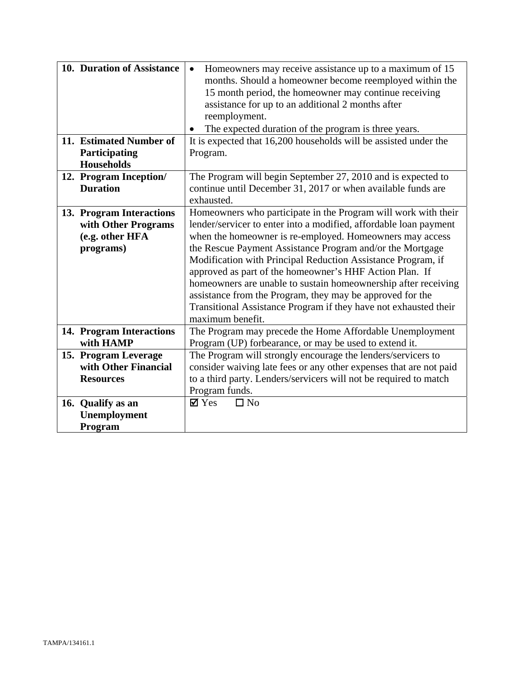| 10. Duration of Assistance<br>11. Estimated Number of<br>Participating<br><b>Households</b> | Homeowners may receive assistance up to a maximum of 15<br>$\bullet$<br>months. Should a homeowner become reemployed within the<br>15 month period, the homeowner may continue receiving<br>assistance for up to an additional 2 months after<br>reemployment.<br>The expected duration of the program is three years.<br>It is expected that 16,200 households will be assisted under the<br>Program.                                                                                                                                                                                                         |
|---------------------------------------------------------------------------------------------|----------------------------------------------------------------------------------------------------------------------------------------------------------------------------------------------------------------------------------------------------------------------------------------------------------------------------------------------------------------------------------------------------------------------------------------------------------------------------------------------------------------------------------------------------------------------------------------------------------------|
| 12. Program Inception/<br><b>Duration</b>                                                   | The Program will begin September 27, 2010 and is expected to<br>continue until December 31, 2017 or when available funds are<br>exhausted.                                                                                                                                                                                                                                                                                                                                                                                                                                                                     |
| 13. Program Interactions<br>with Other Programs<br>(e.g. other HFA<br>programs)             | Homeowners who participate in the Program will work with their<br>lender/servicer to enter into a modified, affordable loan payment<br>when the homeowner is re-employed. Homeowners may access<br>the Rescue Payment Assistance Program and/or the Mortgage<br>Modification with Principal Reduction Assistance Program, if<br>approved as part of the homeowner's HHF Action Plan. If<br>homeowners are unable to sustain homeownership after receiving<br>assistance from the Program, they may be approved for the<br>Transitional Assistance Program if they have not exhausted their<br>maximum benefit. |
| 14. Program Interactions<br>with HAMP                                                       | The Program may precede the Home Affordable Unemployment<br>Program (UP) forbearance, or may be used to extend it.                                                                                                                                                                                                                                                                                                                                                                                                                                                                                             |
| 15. Program Leverage<br>with Other Financial<br><b>Resources</b>                            | The Program will strongly encourage the lenders/servicers to<br>consider waiving late fees or any other expenses that are not paid<br>to a third party. Lenders/servicers will not be required to match<br>Program funds.                                                                                                                                                                                                                                                                                                                                                                                      |
| 16. Qualify as an<br><b>Unemployment</b><br>Program                                         | $\mathbf{\nabla}$ Yes<br>$\Box$ No                                                                                                                                                                                                                                                                                                                                                                                                                                                                                                                                                                             |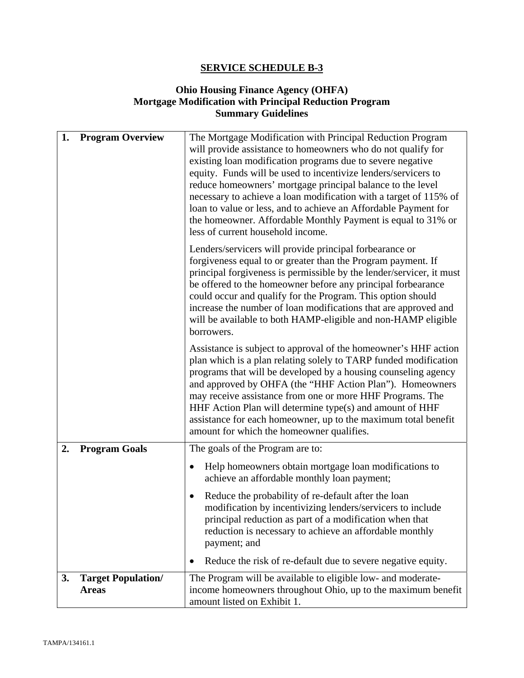## **Ohio Housing Finance Agency (OHFA) Mortgage Modification with Principal Reduction Program Summary Guidelines**

| 1. | <b>Program Overview</b>                   | The Mortgage Modification with Principal Reduction Program<br>will provide assistance to homeowners who do not qualify for<br>existing loan modification programs due to severe negative<br>equity. Funds will be used to incentivize lenders/servicers to<br>reduce homeowners' mortgage principal balance to the level<br>necessary to achieve a loan modification with a target of 115% of<br>loan to value or less, and to achieve an Affordable Payment for<br>the homeowner. Affordable Monthly Payment is equal to 31% or<br>less of current household income. |
|----|-------------------------------------------|-----------------------------------------------------------------------------------------------------------------------------------------------------------------------------------------------------------------------------------------------------------------------------------------------------------------------------------------------------------------------------------------------------------------------------------------------------------------------------------------------------------------------------------------------------------------------|
|    |                                           | Lenders/servicers will provide principal forbearance or<br>forgiveness equal to or greater than the Program payment. If<br>principal forgiveness is permissible by the lender/servicer, it must<br>be offered to the homeowner before any principal forbearance<br>could occur and qualify for the Program. This option should<br>increase the number of loan modifications that are approved and<br>will be available to both HAMP-eligible and non-HAMP eligible<br>borrowers.                                                                                      |
|    |                                           | Assistance is subject to approval of the homeowner's HHF action<br>plan which is a plan relating solely to TARP funded modification<br>programs that will be developed by a housing counseling agency<br>and approved by OHFA (the "HHF Action Plan"). Homeowners<br>may receive assistance from one or more HHF Programs. The<br>HHF Action Plan will determine type(s) and amount of HHF<br>assistance for each homeowner, up to the maximum total benefit<br>amount for which the homeowner qualifies.                                                             |
| 2. | <b>Program Goals</b>                      | The goals of the Program are to:                                                                                                                                                                                                                                                                                                                                                                                                                                                                                                                                      |
|    |                                           | Help homeowners obtain mortgage loan modifications to<br>٠<br>achieve an affordable monthly loan payment;                                                                                                                                                                                                                                                                                                                                                                                                                                                             |
|    |                                           | Reduce the probability of re-default after the loan<br>modification by incentivizing lenders/servicers to include<br>principal reduction as part of a modification when that<br>reduction is necessary to achieve an affordable monthly<br>payment; and                                                                                                                                                                                                                                                                                                               |
|    |                                           | Reduce the risk of re-default due to severe negative equity.                                                                                                                                                                                                                                                                                                                                                                                                                                                                                                          |
| 3. | <b>Target Population/</b><br><b>Areas</b> | The Program will be available to eligible low- and moderate-<br>income homeowners throughout Ohio, up to the maximum benefit<br>amount listed on Exhibit 1.                                                                                                                                                                                                                                                                                                                                                                                                           |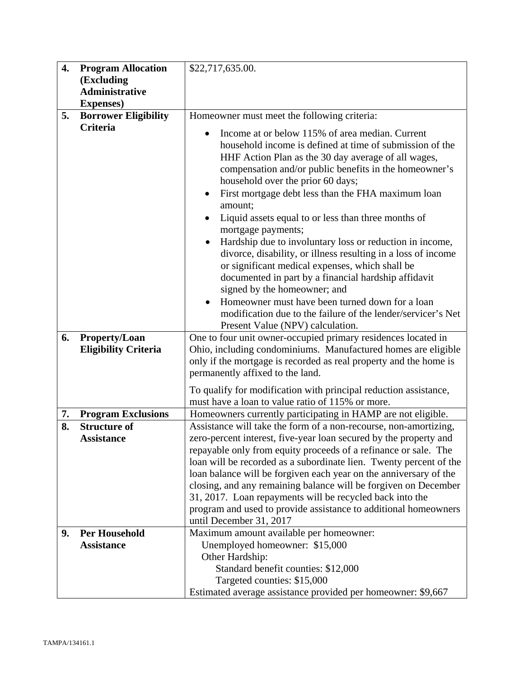| 4. | <b>Program Allocation</b>                  | \$22,717,635.00.                                                                                                                                                                                                                                                                                                                                                                                                                                                                                                                                                                                                                                                                                                                                                                                                                                            |  |
|----|--------------------------------------------|-------------------------------------------------------------------------------------------------------------------------------------------------------------------------------------------------------------------------------------------------------------------------------------------------------------------------------------------------------------------------------------------------------------------------------------------------------------------------------------------------------------------------------------------------------------------------------------------------------------------------------------------------------------------------------------------------------------------------------------------------------------------------------------------------------------------------------------------------------------|--|
|    | (Excluding                                 |                                                                                                                                                                                                                                                                                                                                                                                                                                                                                                                                                                                                                                                                                                                                                                                                                                                             |  |
|    | <b>Administrative</b><br><b>Expenses</b> ) |                                                                                                                                                                                                                                                                                                                                                                                                                                                                                                                                                                                                                                                                                                                                                                                                                                                             |  |
| 5. | <b>Borrower Eligibility</b>                | Homeowner must meet the following criteria:                                                                                                                                                                                                                                                                                                                                                                                                                                                                                                                                                                                                                                                                                                                                                                                                                 |  |
|    | <b>Criteria</b>                            |                                                                                                                                                                                                                                                                                                                                                                                                                                                                                                                                                                                                                                                                                                                                                                                                                                                             |  |
|    |                                            | Income at or below 115% of area median. Current<br>household income is defined at time of submission of the<br>HHF Action Plan as the 30 day average of all wages,<br>compensation and/or public benefits in the homeowner's<br>household over the prior 60 days;<br>First mortgage debt less than the FHA maximum loan<br>amount;<br>Liquid assets equal to or less than three months of<br>mortgage payments;<br>Hardship due to involuntary loss or reduction in income,<br>$\bullet$<br>divorce, disability, or illness resulting in a loss of income<br>or significant medical expenses, which shall be<br>documented in part by a financial hardship affidavit<br>signed by the homeowner; and<br>Homeowner must have been turned down for a loan<br>modification due to the failure of the lender/servicer's Net<br>Present Value (NPV) calculation. |  |
| 6. | <b>Property/Loan</b>                       | One to four unit owner-occupied primary residences located in                                                                                                                                                                                                                                                                                                                                                                                                                                                                                                                                                                                                                                                                                                                                                                                               |  |
|    | <b>Eligibility Criteria</b>                | Ohio, including condominiums. Manufactured homes are eligible                                                                                                                                                                                                                                                                                                                                                                                                                                                                                                                                                                                                                                                                                                                                                                                               |  |
|    |                                            | only if the mortgage is recorded as real property and the home is                                                                                                                                                                                                                                                                                                                                                                                                                                                                                                                                                                                                                                                                                                                                                                                           |  |
|    |                                            | permanently affixed to the land.                                                                                                                                                                                                                                                                                                                                                                                                                                                                                                                                                                                                                                                                                                                                                                                                                            |  |
|    |                                            | To qualify for modification with principal reduction assistance,                                                                                                                                                                                                                                                                                                                                                                                                                                                                                                                                                                                                                                                                                                                                                                                            |  |
|    |                                            | must have a loan to value ratio of 115% or more.                                                                                                                                                                                                                                                                                                                                                                                                                                                                                                                                                                                                                                                                                                                                                                                                            |  |
| 7. | <b>Program Exclusions</b>                  | Homeowners currently participating in HAMP are not eligible.                                                                                                                                                                                                                                                                                                                                                                                                                                                                                                                                                                                                                                                                                                                                                                                                |  |
| 8. | <b>Structure of</b>                        | Assistance will take the form of a non-recourse, non-amortizing,                                                                                                                                                                                                                                                                                                                                                                                                                                                                                                                                                                                                                                                                                                                                                                                            |  |
|    | <b>Assistance</b>                          | zero-percent interest, five-year loan secured by the property and                                                                                                                                                                                                                                                                                                                                                                                                                                                                                                                                                                                                                                                                                                                                                                                           |  |
|    |                                            | repayable only from equity proceeds of a refinance or sale. The                                                                                                                                                                                                                                                                                                                                                                                                                                                                                                                                                                                                                                                                                                                                                                                             |  |
|    |                                            | loan will be recorded as a subordinate lien. Twenty percent of the<br>loan balance will be forgiven each year on the anniversary of the                                                                                                                                                                                                                                                                                                                                                                                                                                                                                                                                                                                                                                                                                                                     |  |
|    |                                            | closing, and any remaining balance will be forgiven on December                                                                                                                                                                                                                                                                                                                                                                                                                                                                                                                                                                                                                                                                                                                                                                                             |  |
|    |                                            | 31, 2017. Loan repayments will be recycled back into the                                                                                                                                                                                                                                                                                                                                                                                                                                                                                                                                                                                                                                                                                                                                                                                                    |  |
|    |                                            | program and used to provide assistance to additional homeowners                                                                                                                                                                                                                                                                                                                                                                                                                                                                                                                                                                                                                                                                                                                                                                                             |  |
|    |                                            | until December 31, 2017                                                                                                                                                                                                                                                                                                                                                                                                                                                                                                                                                                                                                                                                                                                                                                                                                                     |  |
| 9. | <b>Per Household</b>                       | Maximum amount available per homeowner:                                                                                                                                                                                                                                                                                                                                                                                                                                                                                                                                                                                                                                                                                                                                                                                                                     |  |
|    | <b>Assistance</b>                          | Unemployed homeowner: \$15,000                                                                                                                                                                                                                                                                                                                                                                                                                                                                                                                                                                                                                                                                                                                                                                                                                              |  |
|    |                                            | Other Hardship:                                                                                                                                                                                                                                                                                                                                                                                                                                                                                                                                                                                                                                                                                                                                                                                                                                             |  |
|    |                                            | Standard benefit counties: \$12,000                                                                                                                                                                                                                                                                                                                                                                                                                                                                                                                                                                                                                                                                                                                                                                                                                         |  |
|    |                                            | Targeted counties: \$15,000                                                                                                                                                                                                                                                                                                                                                                                                                                                                                                                                                                                                                                                                                                                                                                                                                                 |  |
|    |                                            | Estimated average assistance provided per homeowner: \$9,667                                                                                                                                                                                                                                                                                                                                                                                                                                                                                                                                                                                                                                                                                                                                                                                                |  |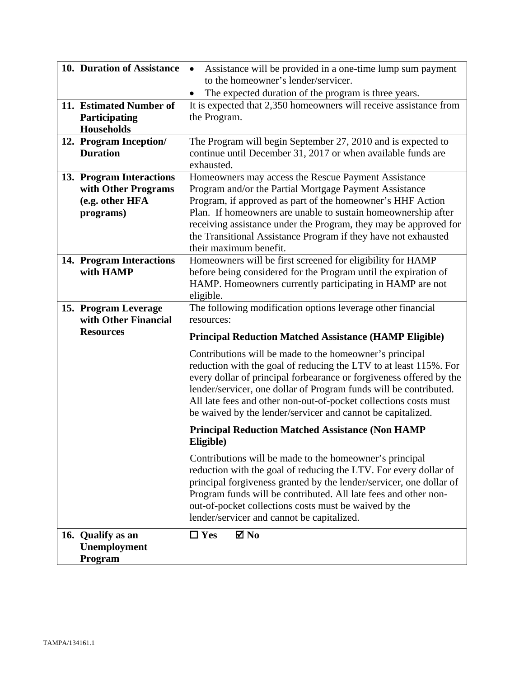| 10. Duration of Assistance                                                      | Assistance will be provided in a one-time lump sum payment<br>$\bullet$<br>to the homeowner's lender/servicer.                                                                                                                                                                                                                                                                                               |
|---------------------------------------------------------------------------------|--------------------------------------------------------------------------------------------------------------------------------------------------------------------------------------------------------------------------------------------------------------------------------------------------------------------------------------------------------------------------------------------------------------|
|                                                                                 | The expected duration of the program is three years.                                                                                                                                                                                                                                                                                                                                                         |
| 11. Estimated Number of<br>Participating<br><b>Households</b>                   | It is expected that 2,350 homeowners will receive assistance from<br>the Program.                                                                                                                                                                                                                                                                                                                            |
| 12. Program Inception/<br><b>Duration</b>                                       | The Program will begin September 27, 2010 and is expected to<br>continue until December 31, 2017 or when available funds are<br>exhausted.                                                                                                                                                                                                                                                                   |
| 13. Program Interactions<br>with Other Programs<br>(e.g. other HFA<br>programs) | Homeowners may access the Rescue Payment Assistance<br>Program and/or the Partial Mortgage Payment Assistance<br>Program, if approved as part of the homeowner's HHF Action<br>Plan. If homeowners are unable to sustain homeownership after<br>receiving assistance under the Program, they may be approved for<br>the Transitional Assistance Program if they have not exhausted<br>their maximum benefit. |
| 14. Program Interactions<br>with HAMP                                           | Homeowners will be first screened for eligibility for HAMP<br>before being considered for the Program until the expiration of<br>HAMP. Homeowners currently participating in HAMP are not<br>eligible.                                                                                                                                                                                                       |
| 15. Program Leverage<br>with Other Financial                                    | The following modification options leverage other financial<br>resources:                                                                                                                                                                                                                                                                                                                                    |
| <b>Resources</b>                                                                | <b>Principal Reduction Matched Assistance (HAMP Eligible)</b>                                                                                                                                                                                                                                                                                                                                                |
|                                                                                 | Contributions will be made to the homeowner's principal<br>reduction with the goal of reducing the LTV to at least 115%. For<br>every dollar of principal forbearance or forgiveness offered by the<br>lender/servicer, one dollar of Program funds will be contributed.<br>All late fees and other non-out-of-pocket collections costs must<br>be waived by the lender/servicer and cannot be capitalized.  |
|                                                                                 | <b>Principal Reduction Matched Assistance (Non HAMP</b><br>Eligible)                                                                                                                                                                                                                                                                                                                                         |
|                                                                                 | Contributions will be made to the homeowner's principal<br>reduction with the goal of reducing the LTV. For every dollar of<br>principal forgiveness granted by the lender/servicer, one dollar of<br>Program funds will be contributed. All late fees and other non-<br>out-of-pocket collections costs must be waived by the<br>lender/servicer and cannot be capitalized.                                 |
| 16. Qualify as an                                                               | $\Box$ Yes<br>$\boxtimes$ No                                                                                                                                                                                                                                                                                                                                                                                 |
| Unemployment<br>Program                                                         |                                                                                                                                                                                                                                                                                                                                                                                                              |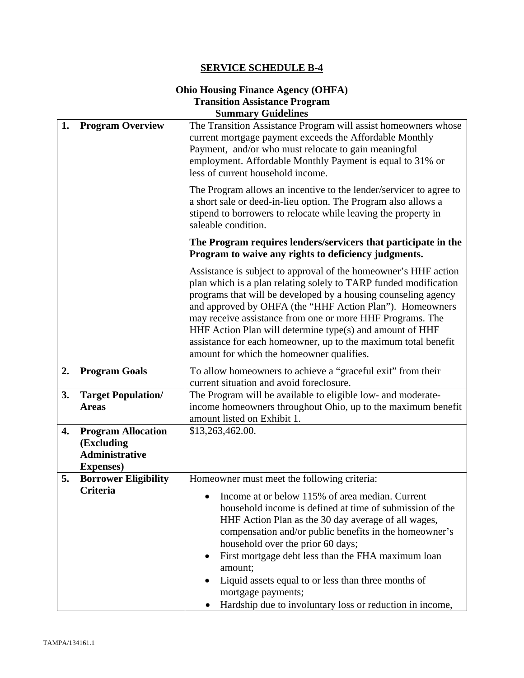#### **Ohio Housing Finance Agency (OHFA) Transition Assistance Program Summary Guidelines**

| 1. | <b>Program Overview</b>                                                               | The Transition Assistance Program will assist homeowners whose<br>current mortgage payment exceeds the Affordable Monthly<br>Payment, and/or who must relocate to gain meaningful<br>employment. Affordable Monthly Payment is equal to 31% or<br>less of current household income.                                                                                                                                                                                                                       |  |  |
|----|---------------------------------------------------------------------------------------|-----------------------------------------------------------------------------------------------------------------------------------------------------------------------------------------------------------------------------------------------------------------------------------------------------------------------------------------------------------------------------------------------------------------------------------------------------------------------------------------------------------|--|--|
|    |                                                                                       | The Program allows an incentive to the lender/servicer to agree to<br>a short sale or deed-in-lieu option. The Program also allows a<br>stipend to borrowers to relocate while leaving the property in<br>saleable condition.                                                                                                                                                                                                                                                                             |  |  |
|    |                                                                                       | The Program requires lenders/servicers that participate in the<br>Program to waive any rights to deficiency judgments.                                                                                                                                                                                                                                                                                                                                                                                    |  |  |
|    |                                                                                       | Assistance is subject to approval of the homeowner's HHF action<br>plan which is a plan relating solely to TARP funded modification<br>programs that will be developed by a housing counseling agency<br>and approved by OHFA (the "HHF Action Plan"). Homeowners<br>may receive assistance from one or more HHF Programs. The<br>HHF Action Plan will determine type(s) and amount of HHF<br>assistance for each homeowner, up to the maximum total benefit<br>amount for which the homeowner qualifies. |  |  |
| 2. | <b>Program Goals</b>                                                                  | To allow homeowners to achieve a "graceful exit" from their<br>current situation and avoid foreclosure.                                                                                                                                                                                                                                                                                                                                                                                                   |  |  |
| 3. | <b>Target Population/</b><br><b>Areas</b>                                             | The Program will be available to eligible low- and moderate-<br>income homeowners throughout Ohio, up to the maximum benefit<br>amount listed on Exhibit 1.                                                                                                                                                                                                                                                                                                                                               |  |  |
| 4. | <b>Program Allocation</b><br>(Excluding<br><b>Administrative</b><br><b>Expenses</b> ) | \$13,263,462.00.                                                                                                                                                                                                                                                                                                                                                                                                                                                                                          |  |  |
| 5. | <b>Borrower Eligibility</b>                                                           | Homeowner must meet the following criteria:                                                                                                                                                                                                                                                                                                                                                                                                                                                               |  |  |
|    | <b>Criteria</b>                                                                       | Income at or below 115% of area median. Current<br>household income is defined at time of submission of the<br>HHF Action Plan as the 30 day average of all wages,<br>compensation and/or public benefits in the homeowner's<br>household over the prior 60 days;<br>First mortgage debt less than the FHA maximum loan<br>$\bullet$<br>amount;<br>Liquid assets equal to or less than three months of<br>mortgage payments;<br>Hardship due to involuntary loss or reduction in income,                  |  |  |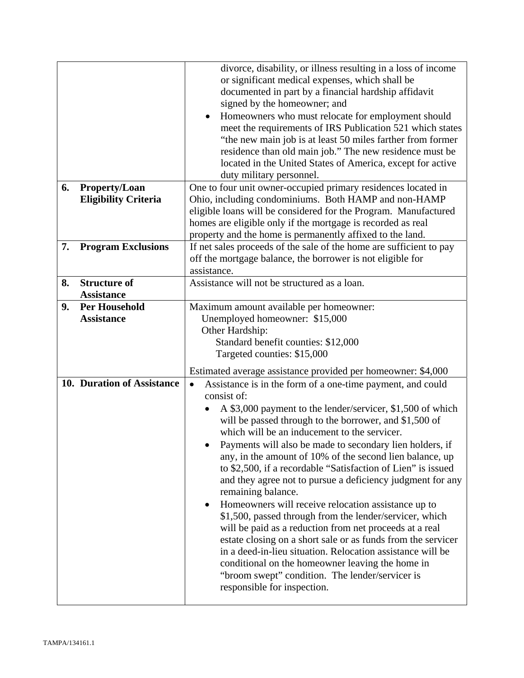| 6. |                                              | divorce, disability, or illness resulting in a loss of income<br>or significant medical expenses, which shall be<br>documented in part by a financial hardship affidavit<br>signed by the homeowner; and<br>Homeowners who must relocate for employment should<br>$\bullet$<br>meet the requirements of IRS Publication 521 which states<br>"the new main job is at least 50 miles farther from former<br>residence than old main job." The new residence must be<br>located in the United States of America, except for active<br>duty military personnel.<br>One to four unit owner-occupied primary residences located in                                                                                                                                                                                                                                                                                                                                                                             |  |
|----|----------------------------------------------|----------------------------------------------------------------------------------------------------------------------------------------------------------------------------------------------------------------------------------------------------------------------------------------------------------------------------------------------------------------------------------------------------------------------------------------------------------------------------------------------------------------------------------------------------------------------------------------------------------------------------------------------------------------------------------------------------------------------------------------------------------------------------------------------------------------------------------------------------------------------------------------------------------------------------------------------------------------------------------------------------------|--|
|    | Property/Loan<br><b>Eligibility Criteria</b> | Ohio, including condominiums. Both HAMP and non-HAMP<br>eligible loans will be considered for the Program. Manufactured<br>homes are eligible only if the mortgage is recorded as real<br>property and the home is permanently affixed to the land.                                                                                                                                                                                                                                                                                                                                                                                                                                                                                                                                                                                                                                                                                                                                                      |  |
| 7. | <b>Program Exclusions</b>                    | If net sales proceeds of the sale of the home are sufficient to pay<br>off the mortgage balance, the borrower is not eligible for<br>assistance.                                                                                                                                                                                                                                                                                                                                                                                                                                                                                                                                                                                                                                                                                                                                                                                                                                                         |  |
| 8. | <b>Structure of</b><br><b>Assistance</b>     | Assistance will not be structured as a loan.                                                                                                                                                                                                                                                                                                                                                                                                                                                                                                                                                                                                                                                                                                                                                                                                                                                                                                                                                             |  |
| 9. | <b>Per Household</b>                         | Maximum amount available per homeowner:                                                                                                                                                                                                                                                                                                                                                                                                                                                                                                                                                                                                                                                                                                                                                                                                                                                                                                                                                                  |  |
|    | <b>Assistance</b>                            | Unemployed homeowner: \$15,000                                                                                                                                                                                                                                                                                                                                                                                                                                                                                                                                                                                                                                                                                                                                                                                                                                                                                                                                                                           |  |
|    |                                              | Other Hardship:                                                                                                                                                                                                                                                                                                                                                                                                                                                                                                                                                                                                                                                                                                                                                                                                                                                                                                                                                                                          |  |
|    |                                              | Standard benefit counties: \$12,000                                                                                                                                                                                                                                                                                                                                                                                                                                                                                                                                                                                                                                                                                                                                                                                                                                                                                                                                                                      |  |
|    |                                              | Targeted counties: \$15,000                                                                                                                                                                                                                                                                                                                                                                                                                                                                                                                                                                                                                                                                                                                                                                                                                                                                                                                                                                              |  |
|    |                                              | Estimated average assistance provided per homeowner: \$4,000                                                                                                                                                                                                                                                                                                                                                                                                                                                                                                                                                                                                                                                                                                                                                                                                                                                                                                                                             |  |
|    | 10. Duration of Assistance                   | Assistance is in the form of a one-time payment, and could<br>$\bullet$<br>consist of:<br>A \$3,000 payment to the lender/servicer, \$1,500 of which<br>will be passed through to the borrower, and \$1,500 of<br>which will be an inducement to the servicer.<br>Payments will also be made to secondary lien holders, if<br>any, in the amount of 10% of the second lien balance, up<br>to \$2,500, if a recordable "Satisfaction of Lien" is issued<br>and they agree not to pursue a deficiency judgment for any<br>remaining balance.<br>Homeowners will receive relocation assistance up to<br>$\bullet$<br>\$1,500, passed through from the lender/servicer, which<br>will be paid as a reduction from net proceeds at a real<br>estate closing on a short sale or as funds from the servicer<br>in a deed-in-lieu situation. Relocation assistance will be<br>conditional on the homeowner leaving the home in<br>"broom swept" condition. The lender/servicer is<br>responsible for inspection. |  |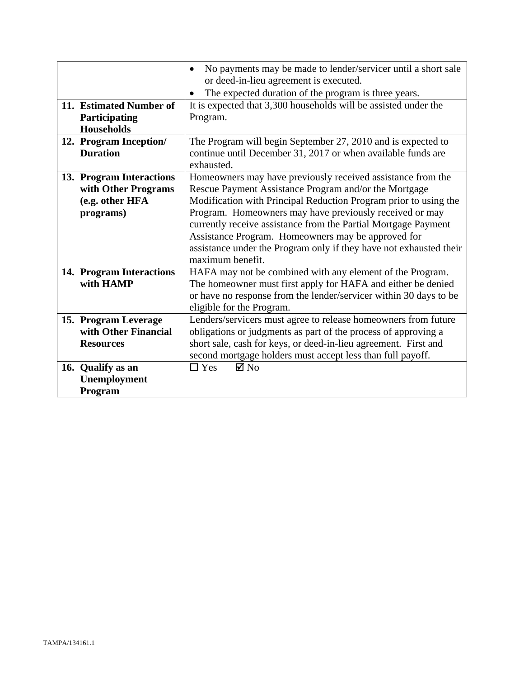|                                                                                 | No payments may be made to lender/servicer until a short sale<br>$\bullet$<br>or deed-in-lieu agreement is executed.<br>The expected duration of the program is three years.                                                                                                                                                                                                                                                                                          |
|---------------------------------------------------------------------------------|-----------------------------------------------------------------------------------------------------------------------------------------------------------------------------------------------------------------------------------------------------------------------------------------------------------------------------------------------------------------------------------------------------------------------------------------------------------------------|
| 11. Estimated Number of<br>Participating<br><b>Households</b>                   | It is expected that 3,300 households will be assisted under the<br>Program.                                                                                                                                                                                                                                                                                                                                                                                           |
| 12. Program Inception/<br><b>Duration</b>                                       | The Program will begin September 27, 2010 and is expected to<br>continue until December 31, 2017 or when available funds are<br>exhausted.                                                                                                                                                                                                                                                                                                                            |
| 13. Program Interactions<br>with Other Programs<br>(e.g. other HFA<br>programs) | Homeowners may have previously received assistance from the<br>Rescue Payment Assistance Program and/or the Mortgage<br>Modification with Principal Reduction Program prior to using the<br>Program. Homeowners may have previously received or may<br>currently receive assistance from the Partial Mortgage Payment<br>Assistance Program. Homeowners may be approved for<br>assistance under the Program only if they have not exhausted their<br>maximum benefit. |
| 14. Program Interactions<br>with HAMP                                           | HAFA may not be combined with any element of the Program.<br>The homeowner must first apply for HAFA and either be denied<br>or have no response from the lender/servicer within 30 days to be<br>eligible for the Program.                                                                                                                                                                                                                                           |
| 15. Program Leverage<br>with Other Financial<br><b>Resources</b>                | Lenders/servicers must agree to release homeowners from future<br>obligations or judgments as part of the process of approving a<br>short sale, cash for keys, or deed-in-lieu agreement. First and<br>second mortgage holders must accept less than full payoff.                                                                                                                                                                                                     |
| 16. Qualify as an<br>Unemployment<br>Program                                    | $\boxtimes$ No<br>$\Box$ Yes                                                                                                                                                                                                                                                                                                                                                                                                                                          |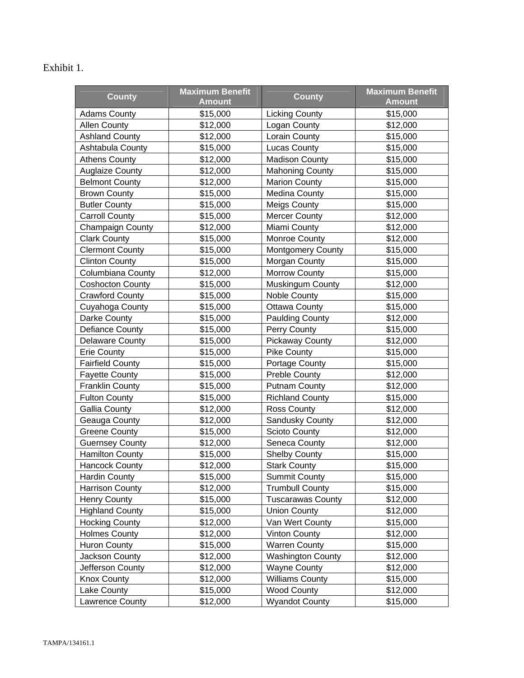# Exhibit 1.

| <b>County</b>           | <b>Maximum Benefit</b><br><b>Amount</b> | <b>County</b>            | <b>Maximum Benefit</b><br><b>Amount</b> |
|-------------------------|-----------------------------------------|--------------------------|-----------------------------------------|
| <b>Adams County</b>     | \$15,000                                | <b>Licking County</b>    | \$15,000                                |
| <b>Allen County</b>     | \$12,000                                | Logan County             | \$12,000                                |
| <b>Ashland County</b>   | \$12,000                                | Lorain County            | \$15,000                                |
| Ashtabula County        | \$15,000                                | <b>Lucas County</b>      | \$15,000                                |
| <b>Athens County</b>    | \$12,000                                | <b>Madison County</b>    | \$15,000                                |
| <b>Auglaize County</b>  | \$12,000                                | <b>Mahoning County</b>   | \$15,000                                |
| <b>Belmont County</b>   | \$12,000                                | <b>Marion County</b>     | \$15,000                                |
| <b>Brown County</b>     | \$15,000                                | Medina County            | \$15,000                                |
| <b>Butler County</b>    | \$15,000                                | Meigs County             | \$15,000                                |
| <b>Carroll County</b>   | \$15,000                                | <b>Mercer County</b>     | \$12,000                                |
| <b>Champaign County</b> | \$12,000                                | Miami County             | \$12,000                                |
| <b>Clark County</b>     | \$15,000                                | Monroe County            | \$12,000                                |
| <b>Clermont County</b>  | \$15,000                                | <b>Montgomery County</b> | \$15,000                                |
| <b>Clinton County</b>   | \$15,000                                | Morgan County            | \$15,000                                |
| Columbiana County       | \$12,000                                | Morrow County            | \$15,000                                |
| <b>Coshocton County</b> | \$15,000                                | Muskingum County         | \$12,000                                |
| <b>Crawford County</b>  | \$15,000                                | Noble County             | \$15,000                                |
| Cuyahoga County         | \$15,000                                | <b>Ottawa County</b>     | \$15,000                                |
| Darke County            | \$15,000                                | <b>Paulding County</b>   | \$12,000                                |
| Defiance County         | \$15,000                                | Perry County             | \$15,000                                |
| <b>Delaware County</b>  | \$15,000                                | <b>Pickaway County</b>   | \$12,000                                |
| <b>Erie County</b>      | \$15,000                                | <b>Pike County</b>       | \$15,000                                |
| <b>Fairfield County</b> | \$15,000                                | Portage County           | \$15,000                                |
| <b>Fayette County</b>   | \$15,000                                | <b>Preble County</b>     | \$12,000                                |
| <b>Franklin County</b>  | \$15,000                                | <b>Putnam County</b>     | \$12,000                                |
| <b>Fulton County</b>    | \$15,000                                | <b>Richland County</b>   | \$15,000                                |
| <b>Gallia County</b>    | \$12,000                                | Ross County              | \$12,000                                |
| Geauga County           | \$12,000                                | Sandusky County          | \$12,000                                |
| <b>Greene County</b>    | \$15,000                                | Scioto County            | \$12,000                                |
| <b>Guernsey County</b>  | \$12,000                                | Seneca County            | \$12,000                                |
| <b>Hamilton County</b>  | \$15,000                                | <b>Shelby County</b>     | \$15,000                                |
| <b>Hancock County</b>   | \$12,000                                | <b>Stark County</b>      | \$15,000                                |
| <b>Hardin County</b>    | \$15,000                                | <b>Summit County</b>     | \$15,000                                |
| Harrison County         | \$12,000                                | <b>Trumbull County</b>   | \$15,000                                |
| <b>Henry County</b>     | \$15,000                                | <b>Tuscarawas County</b> | \$12,000                                |
| <b>Highland County</b>  | \$15,000                                | <b>Union County</b>      | \$12,000                                |
| <b>Hocking County</b>   | \$12,000                                | Van Wert County          | \$15,000                                |
| <b>Holmes County</b>    | \$12,000                                | <b>Vinton County</b>     | \$12,000                                |
| <b>Huron County</b>     | \$15,000                                | <b>Warren County</b>     | \$15,000                                |
| Jackson County          | \$12,000                                | <b>Washington County</b> | \$12,000                                |
| Jefferson County        | \$12,000                                | <b>Wayne County</b>      | \$12,000                                |
| <b>Knox County</b>      | \$12,000                                | <b>Williams County</b>   | \$15,000                                |
| Lake County             | \$15,000                                | <b>Wood County</b>       | \$12,000                                |
| Lawrence County         | \$12,000                                | <b>Wyandot County</b>    | \$15,000                                |